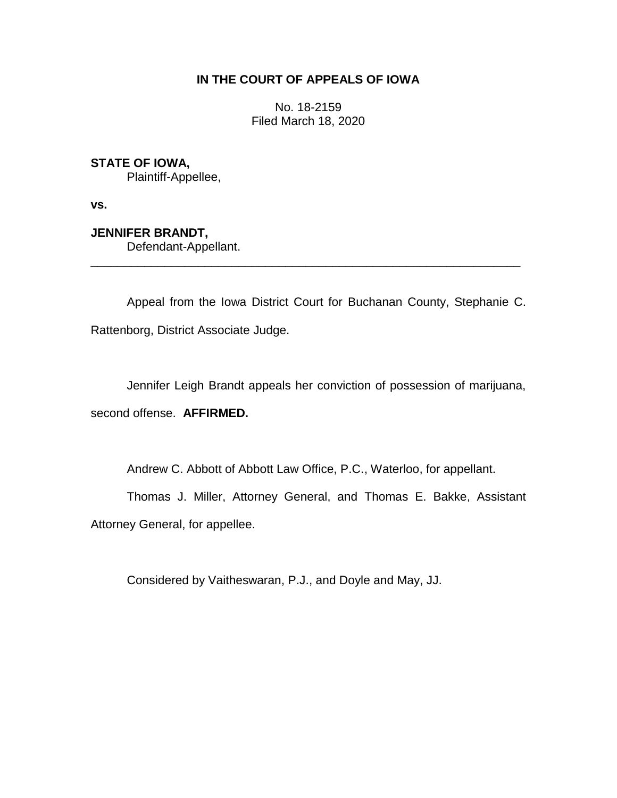## **IN THE COURT OF APPEALS OF IOWA**

No. 18-2159 Filed March 18, 2020

## **STATE OF IOWA,**

Plaintiff-Appellee,

**vs.**

# **JENNIFER BRANDT,**

Defendant-Appellant.

Appeal from the Iowa District Court for Buchanan County, Stephanie C. Rattenborg, District Associate Judge.

\_\_\_\_\_\_\_\_\_\_\_\_\_\_\_\_\_\_\_\_\_\_\_\_\_\_\_\_\_\_\_\_\_\_\_\_\_\_\_\_\_\_\_\_\_\_\_\_\_\_\_\_\_\_\_\_\_\_\_\_\_\_\_\_

Jennifer Leigh Brandt appeals her conviction of possession of marijuana, second offense. **AFFIRMED.**

Andrew C. Abbott of Abbott Law Office, P.C., Waterloo, for appellant.

Thomas J. Miller, Attorney General, and Thomas E. Bakke, Assistant Attorney General, for appellee.

Considered by Vaitheswaran, P.J., and Doyle and May, JJ.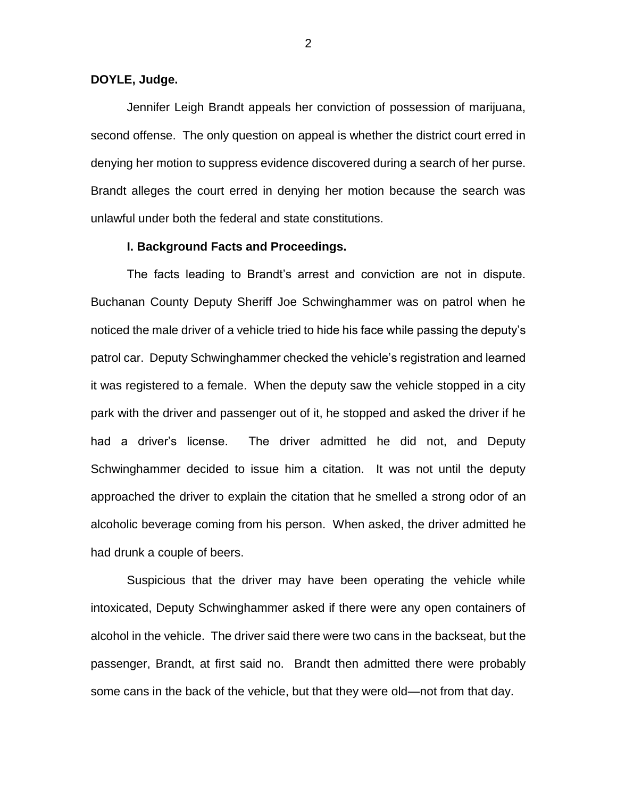### **DOYLE, Judge.**

Jennifer Leigh Brandt appeals her conviction of possession of marijuana, second offense. The only question on appeal is whether the district court erred in denying her motion to suppress evidence discovered during a search of her purse. Brandt alleges the court erred in denying her motion because the search was unlawful under both the federal and state constitutions.

### **I. Background Facts and Proceedings.**

The facts leading to Brandt's arrest and conviction are not in dispute. Buchanan County Deputy Sheriff Joe Schwinghammer was on patrol when he noticed the male driver of a vehicle tried to hide his face while passing the deputy's patrol car. Deputy Schwinghammer checked the vehicle's registration and learned it was registered to a female. When the deputy saw the vehicle stopped in a city park with the driver and passenger out of it, he stopped and asked the driver if he had a driver's license. The driver admitted he did not, and Deputy Schwinghammer decided to issue him a citation. It was not until the deputy approached the driver to explain the citation that he smelled a strong odor of an alcoholic beverage coming from his person. When asked, the driver admitted he had drunk a couple of beers.

Suspicious that the driver may have been operating the vehicle while intoxicated, Deputy Schwinghammer asked if there were any open containers of alcohol in the vehicle. The driver said there were two cans in the backseat, but the passenger, Brandt, at first said no. Brandt then admitted there were probably some cans in the back of the vehicle, but that they were old—not from that day.

2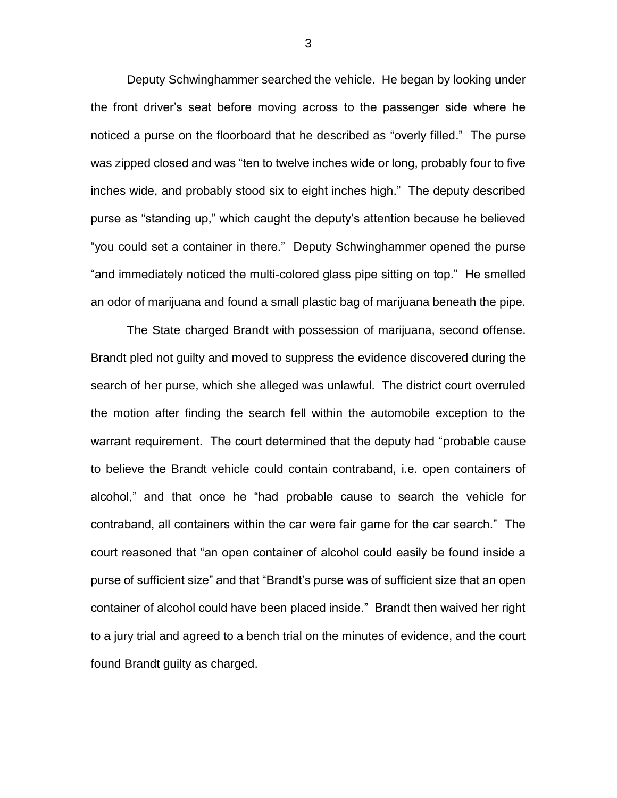Deputy Schwinghammer searched the vehicle. He began by looking under the front driver's seat before moving across to the passenger side where he noticed a purse on the floorboard that he described as "overly filled." The purse was zipped closed and was "ten to twelve inches wide or long, probably four to five inches wide, and probably stood six to eight inches high." The deputy described purse as "standing up," which caught the deputy's attention because he believed "you could set a container in there." Deputy Schwinghammer opened the purse "and immediately noticed the multi-colored glass pipe sitting on top." He smelled an odor of marijuana and found a small plastic bag of marijuana beneath the pipe.

The State charged Brandt with possession of marijuana, second offense. Brandt pled not guilty and moved to suppress the evidence discovered during the search of her purse, which she alleged was unlawful. The district court overruled the motion after finding the search fell within the automobile exception to the warrant requirement. The court determined that the deputy had "probable cause to believe the Brandt vehicle could contain contraband, i.e. open containers of alcohol," and that once he "had probable cause to search the vehicle for contraband, all containers within the car were fair game for the car search." The court reasoned that "an open container of alcohol could easily be found inside a purse of sufficient size" and that "Brandt's purse was of sufficient size that an open container of alcohol could have been placed inside." Brandt then waived her right to a jury trial and agreed to a bench trial on the minutes of evidence, and the court found Brandt guilty as charged.

3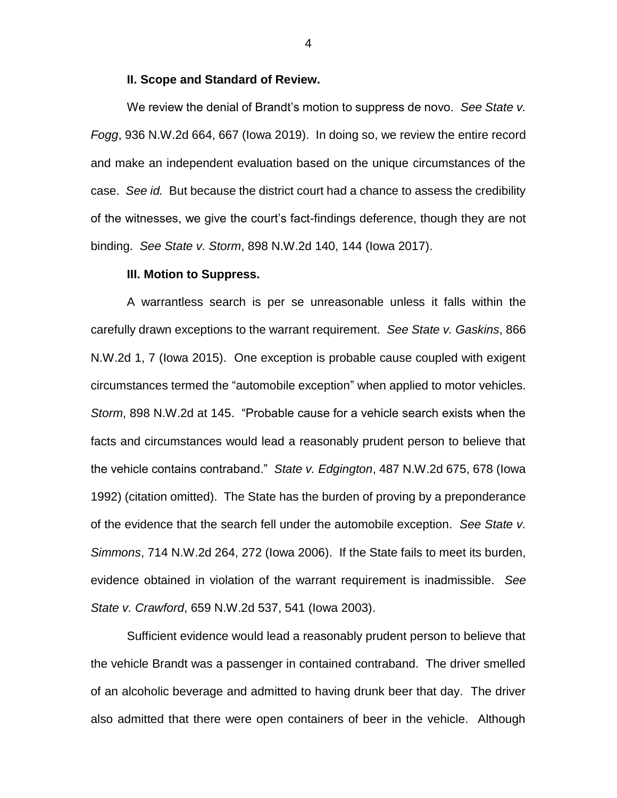### **II. Scope and Standard of Review.**

We review the denial of Brandt's motion to suppress de novo. *See State v. Fogg*, 936 N.W.2d 664, 667 (Iowa 2019). In doing so, we review the entire record and make an independent evaluation based on the unique circumstances of the case. *See id.* But because the district court had a chance to assess the credibility of the witnesses, we give the court's fact-findings deference, though they are not binding. *See State v. Storm*, 898 N.W.2d 140, 144 (Iowa 2017).

### **III. Motion to Suppress.**

A warrantless search is per se unreasonable unless it falls within the carefully drawn exceptions to the warrant requirement. *See State v. Gaskins*, 866 N.W.2d 1, 7 (Iowa 2015). One exception is probable cause coupled with exigent circumstances termed the "automobile exception" when applied to motor vehicles. *Storm*, 898 N.W.2d at 145. "Probable cause for a vehicle search exists when the facts and circumstances would lead a reasonably prudent person to believe that the vehicle contains contraband." *State v. Edgington*, 487 N.W.2d 675, 678 (Iowa 1992) (citation omitted). The State has the burden of proving by a preponderance of the evidence that the search fell under the automobile exception. *See State v. Simmons*, 714 N.W.2d 264, 272 (Iowa 2006). If the State fails to meet its burden, evidence obtained in violation of the warrant requirement is inadmissible. *See State v. Crawford*, 659 N.W.2d 537, 541 (Iowa 2003).

Sufficient evidence would lead a reasonably prudent person to believe that the vehicle Brandt was a passenger in contained contraband. The driver smelled of an alcoholic beverage and admitted to having drunk beer that day. The driver also admitted that there were open containers of beer in the vehicle. Although

4